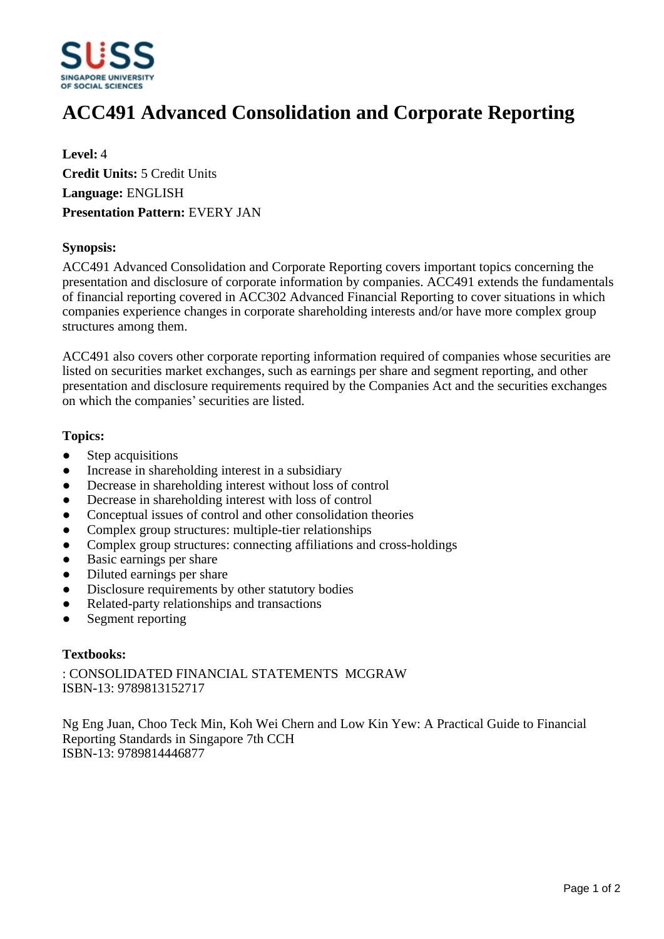

# **ACC491 Advanced Consolidation and Corporate Reporting**

**Level:** 4 **Credit Units:** 5 Credit Units **Language:** ENGLISH **Presentation Pattern:** EVERY JAN

### **Synopsis:**

ACC491 Advanced Consolidation and Corporate Reporting covers important topics concerning the presentation and disclosure of corporate information by companies. ACC491 extends the fundamentals of financial reporting covered in ACC302 Advanced Financial Reporting to cover situations in which companies experience changes in corporate shareholding interests and/or have more complex group structures among them.

ACC491 also covers other corporate reporting information required of companies whose securities are listed on securities market exchanges, such as earnings per share and segment reporting, and other presentation and disclosure requirements required by the Companies Act and the securities exchanges on which the companies' securities are listed.

### **Topics:**

- Step acquisitions
- Increase in shareholding interest in a subsidiary
- Decrease in shareholding interest without loss of control
- Decrease in shareholding interest with loss of control
- Conceptual issues of control and other consolidation theories
- Complex group structures: multiple-tier relationships
- Complex group structures: connecting affiliations and cross-holdings
- Basic earnings per share
- Diluted earnings per share
- Disclosure requirements by other statutory bodies
- Related-party relationships and transactions
- Segment reporting

## **Textbooks:**

: CONSOLIDATED FINANCIAL STATEMENTS MCGRAW ISBN-13: 9789813152717

Ng Eng Juan, Choo Teck Min, Koh Wei Chern and Low Kin Yew: A Practical Guide to Financial Reporting Standards in Singapore 7th CCH ISBN-13: 9789814446877